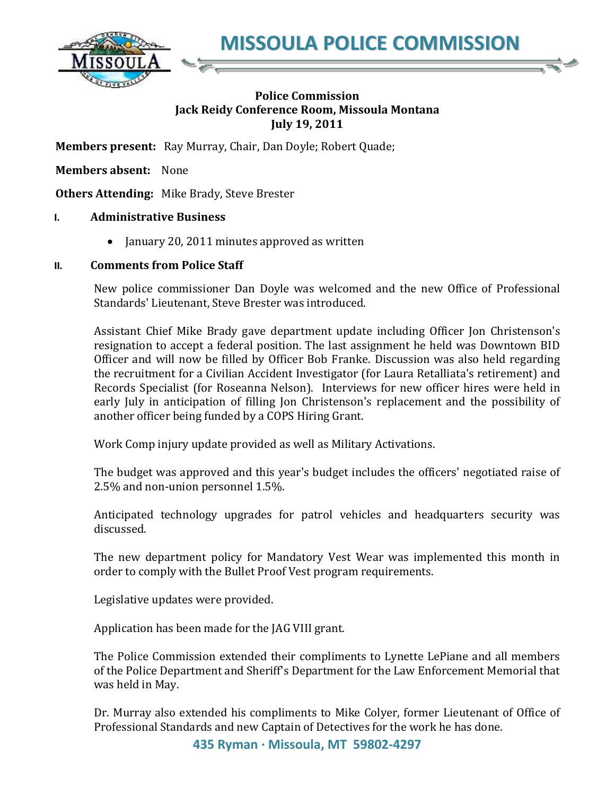**MISSOULA POLICE COMMISSION**



## **Police Commission Jack Reidy Conference Room, Missoula Montana July 19, 2011**

**Members present:** Ray Murray, Chair, Dan Doyle; Robert Quade;

**Members absent:** None

**Others Attending:** Mike Brady, Steve Brester

## **I. Administrative Business**

• January 20, 2011 minutes approved as written

## **II. Comments from Police Staff**

New police commissioner Dan Doyle was welcomed and the new Office of Professional Standards' Lieutenant, Steve Brester was introduced.

Assistant Chief Mike Brady gave department update including Officer Jon Christenson's resignation to accept a federal position. The last assignment he held was Downtown BID Officer and will now be filled by Officer Bob Franke. Discussion was also held regarding the recruitment for a Civilian Accident Investigator (for Laura Retalliata's retirement) and Records Specialist (for Roseanna Nelson). Interviews for new officer hires were held in early July in anticipation of filling Jon Christenson's replacement and the possibility of another officer being funded by a COPS Hiring Grant.

Work Comp injury update provided as well as Military Activations.

The budget was approved and this year's budget includes the officers' negotiated raise of 2.5% and non-union personnel 1.5%.

Anticipated technology upgrades for patrol vehicles and headquarters security was discussed.

The new department policy for Mandatory Vest Wear was implemented this month in order to comply with the Bullet Proof Vest program requirements.

Legislative updates were provided.

Application has been made for the JAG VIII grant.

The Police Commission extended their compliments to Lynette LePiane and all members of the Police Department and Sheriff's Department for the Law Enforcement Memorial that was held in May.

Dr. Murray also extended his compliments to Mike Colyer, former Lieutenant of Office of Professional Standards and new Captain of Detectives for the work he has done.

**435 Ryman · Missoula, MT 59802-4297**